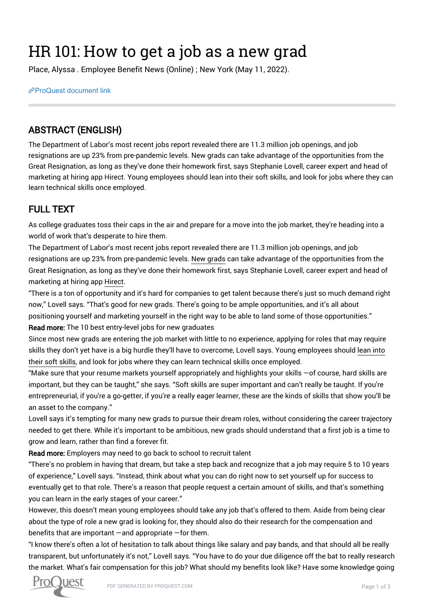## HR 101: How to get a job as a new grad

Place, Alyssa . Employee Benefit News (Online) ; New York (May 11, 2022).

[ProQuest document link](https://www.proquest.com/trade-journals/hr-101-how-get-job-as-new-grad/docview/2662017382/se-2?accountid=44910)

## ABSTRACT (ENGLISH)

The Department of Labor's most recent jobs report revealed there are 11.3 million job openings, and job resignations are up 23% from pre-pandemic levels. New grads can take advantage of the opportunities from the Great Resignation, as long as they've done their homework first, says Stephanie Lovell, career expert and head of marketing at hiring app Hirect. Young employees should lean into their soft skills, and look for jobs where they can learn technical skills once employed.

## FULL TEXT

As college graduates toss their caps in the air and prepare for a move into the job market, they're heading into a world of work that's desperate to hire them.

The Department of Labor's most recent jobs report revealed there are 11.3 million job openings, and job resignations are up 23% from pre-pandemic levels. New grads can take advantage of the opportunities from the Great Resignation, as long as they've done their homework first, says Stephanie Lovell, career expert and head of marketing at hiring app Hirect.

"There is a ton of opportunity and it's hard for companies to get talent because there's just so much demand right now," Lovell says. "That's good for new grads. There's going to be ample opportunities, and it's all about positioning yourself and marketing yourself in the right way to be able to land some of those opportunities." Read more: The 10 best entry-level jobs for new graduates

Since most new grads are entering the job market with little to no experience, applying for roles that may require skills they don't yet have is a big hurdle they'll have to overcome, Lovell says. Young employees should lean into their soft skills, and look for jobs where they can learn technical skills once employed.

"Make sure that your resume markets yourself appropriately and highlights your skills —of course, hard skills are important, but they can be taught," she says. "Soft skills are super important and can't really be taught. If you're entrepreneurial, if you're a go-getter, if you're a really eager learner, these are the kinds of skills that show you'll be an asset to the company."

Lovell says it's tempting for many new grads to pursue their dream roles, without considering the career trajectory needed to get there. While it's important to be ambitious, new grads should understand that a first job is a time to grow and learn, rather than find a forever fit.

Read more: Employers may need to go back to school to recruit talent

"There's no problem in having that dream, but take a step back and recognize that a job may require 5 to 10 years of experience," Lovell says. "Instead, think about what you can do right now to set yourself up for success to eventually get to that role. There's a reason that people request a certain amount of skills, and that's something you can learn in the early stages of your career."

However, this doesn't mean young employees should take any job that's offered to them. Aside from being clear about the type of role a new grad is looking for, they should also do their research for the compensation and benefits that are important —and appropriate —for them.

"I know there's often a lot of hesitation to talk about things like salary and pay bands, and that should all be really transparent, but unfortunately it's not," Lovell says. "You have to do your due diligence off the bat to really research the market. What's fair compensation for this job? What should my benefits look like? Have some knowledge going

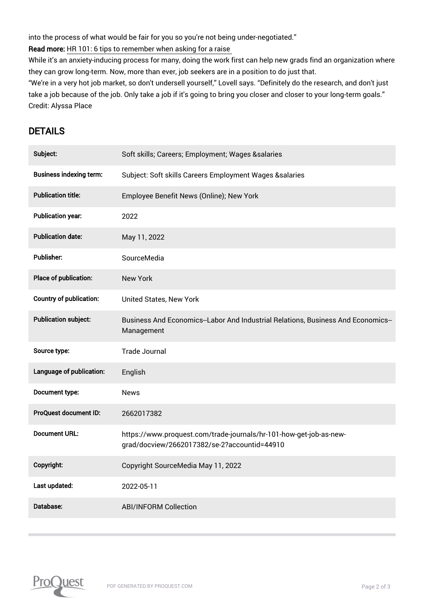into the process of what would be fair for you so you're not being under-negotiated."

Read more: HR 101: 6 tips to remember when asking for a raise

While it's an anxiety-inducing process for many, doing the work first can help new grads find an organization where they can grow long-term. Now, more than ever, job seekers are in a position to do just that.

"We're in a very hot job market, so don't undersell yourself," Lovell says. "Definitely do the research, and don't just take a job because of the job. Only take a job if it's going to bring you closer and closer to your long-term goals." Credit: Alyssa Place

## DETAILS

| Subject:                       | Soft skills; Careers; Employment; Wages &salaries                                                                  |
|--------------------------------|--------------------------------------------------------------------------------------------------------------------|
| <b>Business indexing term:</b> | Subject: Soft skills Careers Employment Wages &salaries                                                            |
| <b>Publication title:</b>      | Employee Benefit News (Online); New York                                                                           |
| <b>Publication year:</b>       | 2022                                                                                                               |
| <b>Publication date:</b>       | May 11, 2022                                                                                                       |
| <b>Publisher:</b>              | SourceMedia                                                                                                        |
| Place of publication:          | <b>New York</b>                                                                                                    |
| <b>Country of publication:</b> | <b>United States, New York</b>                                                                                     |
| <b>Publication subject:</b>    | Business And Economics--Labor And Industrial Relations, Business And Economics--<br>Management                     |
|                                |                                                                                                                    |
| Source type:                   | <b>Trade Journal</b>                                                                                               |
| Language of publication:       | English                                                                                                            |
| Document type:                 | <b>News</b>                                                                                                        |
| ProQuest document ID:          | 2662017382                                                                                                         |
| <b>Document URL:</b>           | https://www.proquest.com/trade-journals/hr-101-how-get-job-as-new-<br>grad/docview/2662017382/se-2?accountid=44910 |
| Copyright:                     | Copyright SourceMedia May 11, 2022                                                                                 |
| Last updated:                  | 2022-05-11                                                                                                         |